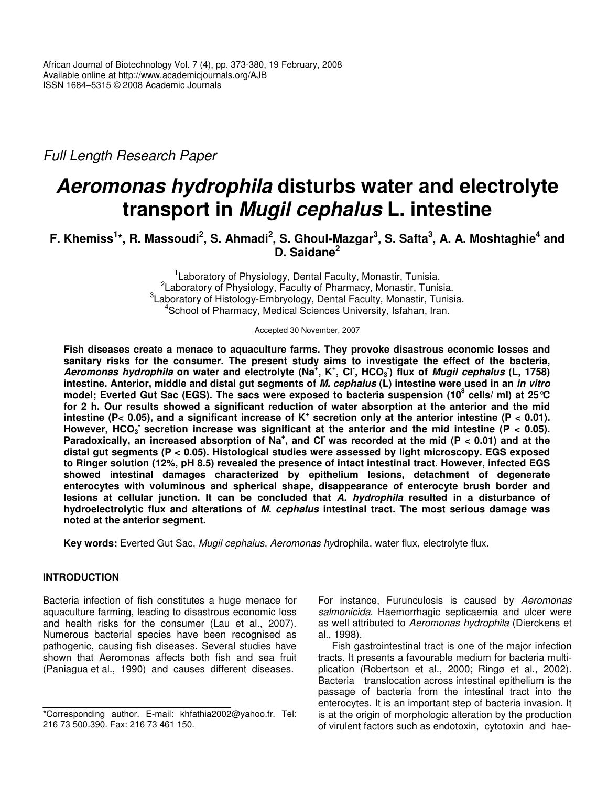*Full Length Research Paper*

# *Aeromonas hydrophila* **disturbs water and electrolyte transport in** *Mugil cephalus* **L. intestine**

# F. Khemiss<sup>1</sup>\*, R. Massoudi<sup>2</sup>, S. Ahmadi<sup>2</sup>, S. Ghoul-Mazgar<sup>3</sup>, S. Safta<sup>3</sup>, A. A. Moshtaghie<sup>4</sup> and **D. Saidane 2**

<sup>1</sup> Laboratory of Physiology, Dental Faculty, Monastir, Tunisia. <sup>2</sup> Laboratory of Physiology, Faculty of Pharmacy, Monastir, Tunisia. 3 Laboratory of Histology-Embryology, Dental Faculty, Monastir, Tunisia. 4 School of Pharmacy, Medical Sciences University, Isfahan, Iran.

Accepted 30 November, 2007

**Fish diseases create a menace to aquaculture farms. They provoke disastrous economic losses and sanitary risks for the consumer. The present study aims to investigate the effect of the bacteria,** Aeromonas hydrophila on water and electrolyte (Na<sup>+</sup>, K<sup>+</sup>, Cl<sup>-</sup>, HCO<sub>3</sub>) flux of Mugil cephalus (L, 1758) intestine. Anterior, middle and distal gut segments of M. cephalus (L) intestine were used in an in vitro model; Everted Gut Sac (EGS). The sacs were exposed to bacteria suspension (10<sup>8</sup> cells/ ml) at 25 °C for 2 h. Our results showed a significant reduction of water absorption at the anterior and the mid intestine (P< 0.05), and a significant increase of K<sup>+</sup> secretion only at the anterior intestine (P < 0.01). However, HCO<sub>3</sub> secretion increase was significant at the anterior and the mid intestine (P < 0.05). Paradoxically, an increased absorption of  $Na<sup>+</sup>$ , and CI was recorded at the mid (P < 0.01) and at the **distal gut segments (P < 0.05). Histological studies were assessed by light microscopy. EGS exposed to Ringer solution (12%, pH 8.5) revealed the presence of intact intestinal tract. However, infected EGS showed intestinal damages characterized by epithelium lesions, detachment of degenerate enterocytes with voluminous and spherical shape, disappearance of enterocyte brush border and lesions at cellular junction. It can be concluded that** *A. hydrophila* **resulted in a disturbance of hydroelectrolytic flux and alterations of** *M. cephalus* **intestinal tract. The most serious damage was noted at the anterior segment.**

**Key words:** Everted Gut Sac, *Mugil cephalus*, *Aeromonas hy*drophila, water flux, electrolyte flux.

# **INTRODUCTION**

Bacteria infection of fish constitutes a huge menace for aquaculture farming, leading to disastrous economic loss and health risks for the consumer (Lau et al., 2007). Numerous bacterial species have been recognised as pathogenic, causing fish diseases. Several studies have shown that Aeromonas affects both fish and sea fruit (Paniagua et al., 1990) and causes different diseases.

For instance, Furunculosis is caused by *Aeromonas salmonicida*. Haemorrhagic septicaemia and ulcer were as well attributed to *Aeromonas hydrophila* (Dierckens et al., 1998).

Fish gastrointestinal tract is one of the major infection tracts. It presents a favourable medium for bacteria multiplication (Robertson et al., 2000; Ringø et al., 2002). Bacteria translocation across intestinal epithelium is the passage of bacteria from the intestinal tract into the enterocytes. It is an important step of bacteria invasion. It is at the origin of morphologic alteration by the production of virulent factors such as endotoxin, cytotoxin and hae-

<sup>\*</sup>Corresponding author. E-mail: khfathia2002@yahoo.fr. Tel: 216 73 500.390. Fax: 216 73 461 150.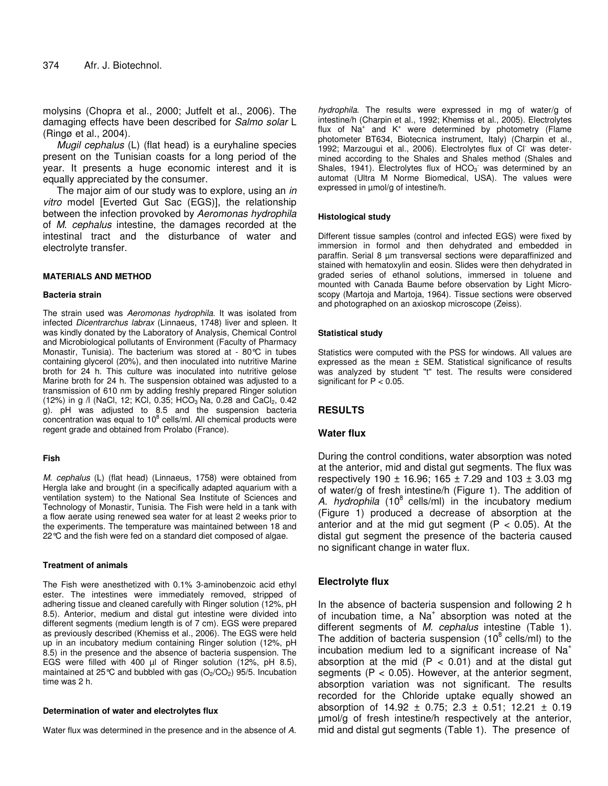molysins (Chopra et al., 2000; Jutfelt et al., 2006). The damaging effects have been described for *Salmo solar* L (Ringø et al., 2004).

*Mugil cephalus* (L) (flat head) is a euryhaline species present on the Tunisian coasts for a long period of the year. It presents a huge economic interest and it is equally appreciated by the consumer.

The major aim of our study was to explore, using an *in vitro* model [Everted Gut Sac (EGS)], the relationship between the infection provoked by *Aeromonas hydrophila* of *M. cephalus* intestine, the damages recorded at the intestinal tract and the disturbance of water and electrolyte transfer.

#### **MATERIALS AND METHOD**

#### **Bacteria strain**

The strain used was *Aeromonas hydrophila*. It was isolated from infected *Dicentrarchus labrax* (Linnaeus, 1748) liver and spleen. It was kindly donated by the Laboratory of Analysis, Chemical Control and Microbiological pollutants of Environment (Faculty of Pharmacy Monastir, Tunisia). The bacterium was stored at - 80°C in tubes containing glycerol (20%), and then inoculated into nutritive Marine broth for 24 h. This culture was inoculated into nutritive gelose Marine broth for 24 h. The suspension obtained was adjusted to a transmission of 610 nm by adding freshly prepared Ringer solution (12%) in g  $\text{/}$  (NaCl, 12; KCl, 0.35; HCO<sub>3</sub> Na, 0.28 and CaCl<sub>2</sub>, 0.42 g). pH was adjusted to 8.5 and the suspension bacteria concentration was equal to 10 $8$  cells/ml. All chemical products were regent grade and obtained from Prolabo (France).

#### **Fish**

*M. cephalus* (L) (flat head) (Linnaeus, 1758) were obtained from Hergla lake and brought (in a specifically adapted aquarium with a ventilation system) to the National Sea Institute of Sciences and Technology of Monastir, Tunisia. The Fish were held in a tank with a flow aerate using renewed sea water for at least 2 weeks prior to the experiments. The temperature was maintained between 18 and 22°C and the fish were fed on a standard diet composed of algae.

#### **Treatment of animals**

The Fish were anesthetized with 0.1% 3-aminobenzoic acid ethyl ester. The intestines were immediately removed, stripped of adhering tissue and cleaned carefully with Ringer solution (12%, pH 8.5). Anterior, medium and distal gut intestine were divided into different segments (medium length is of 7 cm). EGS were prepared as previously described (Khemiss et al., 2006). The EGS were held up in an incubatory medium containing Ringer solution (12%, pH 8.5) in the presence and the absence of bacteria suspension. The EGS were filled with 400 µl of Ringer solution (12%, pH 8.5), maintained at 25 $\degree$ C and bubbled with gas (O<sub>2</sub>/CO<sub>2</sub>) 95/5. Incubation time was 2 h.

#### **Determination of water and electrolytes flux**

Water flux was determined in the presence and in the absence of *A.*

*hydrophila*. The results were expressed in mg of water/g of intestine/h (Charpin et al., 1992; Khemiss et al., 2005). Electrolytes flux of Na<sup>+</sup> and K<sup>+</sup> were determined by photometry (Flame photometer BT634, Biotecnica instrument, Italy) (Charpin et al., 1992; Marzougui et al., 2006). Electrolytes flux of Cl was determined according to the Shales and Shales method (Shales and Shales, 1941). Electrolytes flux of  $HCO<sub>3</sub>$  was determined by an automat (Ultra M Norme Biomedical, USA). The values were expressed in µmol/g of intestine/h.

#### **Histological study**

Different tissue samples (control and infected EGS) were fixed by immersion in formol and then dehydrated and embedded in paraffin. Serial 8 um transversal sections were deparaffinized and stained with hematoxylin and eosin. Slides were then dehydrated in graded series of ethanol solutions, immersed in toluene and mounted with Canada Baume before observation by Light Microscopy (Martoja and Martoja, 1964). Tissue sections were observed and photographed on an axioskop microscope (Zeiss).

#### **Statistical study**

Statistics were computed with the PSS for windows. All values are expressed as the mean ± SEM. Statistical significance of results was analyzed by student "t" test. The results were considered significant for  $P < 0.05$ .

# **RESULTS**

#### **Water flux**

During the control conditions, water absorption was noted at the anterior, mid and distal gut segments. The flux was respectively 190  $\pm$  16.96; 165  $\pm$  7.29 and 103  $\pm$  3.03 mg of water/g of fresh intestine/h (Figure 1). The addition of *A. hydrophila* (10 8 cells/ml) in the incubatory medium (Figure 1) produced a decrease of absorption at the anterior and at the mid gut segment ( $P < 0.05$ ). At the distal gut segment the presence of the bacteria caused no significant change in water flux.

# **Electrolyte flux**

In the absence of bacteria suspension and following 2 h of incubation time, a Na<sup>+</sup> absorption was noted at the different segments of *M. cephalus* intestine (Table 1). The addition of bacteria suspension  $(10^8 \text{ cells/ml})$  to the incubation medium led to a significant increase of  $Na<sup>+</sup>$ absorption at the mid ( $P < 0.01$ ) and at the distal gut segments  $(P < 0.05)$ . However, at the anterior segment, absorption variation was not significant. The results recorded for the Chloride uptake equally showed an absorption of  $14.92 \pm 0.75$ ;  $2.3 \pm 0.51$ ;  $12.21 \pm 0.19$ µmol/g of fresh intestine/h respectively at the anterior, mid and distal gut segments (Table 1). The presence of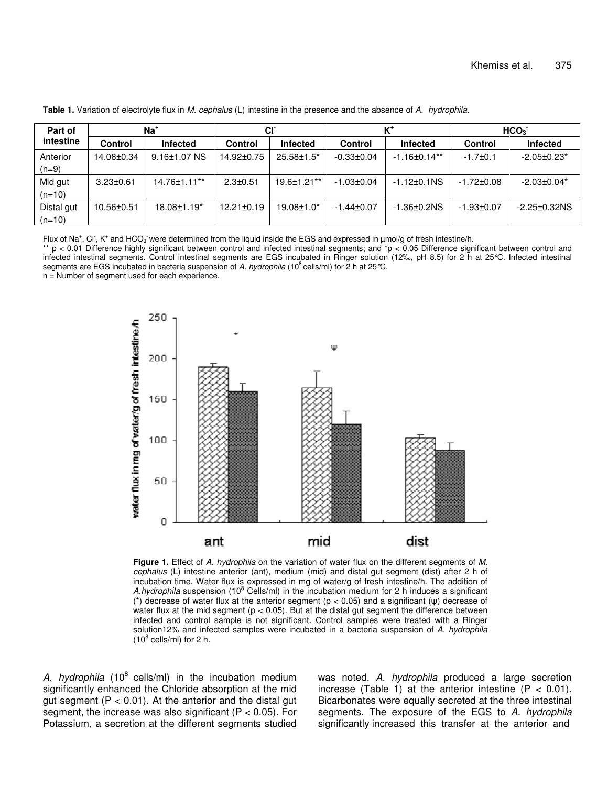| Part of<br>intestine   | $Na+$           |                    | <b>CI</b>        |                    | $K^+$            |                    | HCO <sub>3</sub> |                     |
|------------------------|-----------------|--------------------|------------------|--------------------|------------------|--------------------|------------------|---------------------|
|                        | <b>Control</b>  | Infected           | Control          | Infected           | <b>Control</b>   | Infected           | <b>Control</b>   | <b>Infected</b>     |
| Anterior<br>$(n=9)$    | 14.08±0.34      | $9.16 \pm 1.07$ NS | $14.92 \pm 0.75$ | $25.58 \pm 1.5^*$  | $-0.33 \pm 0.04$ | $-1.16 \pm 0.14**$ | $-1.7 \pm 0.1$   | $-2.05 \pm 0.23$ *  |
| Mid gut<br>$(n=10)$    | $3.23 \pm 0.61$ | 14.76±1.11**       | $2.3 \pm 0.51$   | $19.6 \pm 1.21$ ** | $-1.03 \pm 0.04$ | $-1.12 \pm 0.1$ NS | $-1.72 \pm 0.08$ | $-2.03 \pm 0.04*$   |
| Distal gut<br>$(n=10)$ | 10.56±0.51      | $18.08 \pm 1.19^*$ | $12.21 \pm 0.19$ | $19.08 \pm 1.0^*$  | $-1.44 \pm 0.07$ | $-1.36 + 0.2$ NS   | $-1.93 \pm 0.07$ | $-2.25 \pm 0.32$ NS |

**Table 1.** Variation of electrolyte flux in *M. cephalus* (L) intestine in the presence and the absence of *A. hydrophila.*

Flux of Na<sup>+</sup>, Cl<sup>-</sup>, K<sup>+</sup> and HCO<sub>3</sub> were determined from the liquid inside the EGS and expressed in µmol/g of fresh intestine/h.

 $*$  p < 0.01 Difference highly significant between control and infected intestinal segments; and  $*$ p < 0.05 Difference significant between control and infected intestinal segments. Control intestinal segments are EGS incubated in Ringer solution (12‰, pH 8.5) for 2 h at 25°C. Infected intestinal segments are EGS incubated in bacteria suspension of *A. hydrophila* (10<sup>8</sup> cells/ml) for 2 h at 25 °C.

n = Number of segment used for each experience.



**Figure 1.** Effect of *A. hydrophila* on the variation of water flux on the different segments of *M. cephalus* (L) intestine anterior (ant), medium (mid) and distal gut segment (dist) after 2 h of incubation time. Water flux is expressed in mg of water/g of fresh intestine/h. The addition of A.hydrophila suspension (10<sup>8</sup> Cells/ml) in the incubation medium for 2 h induces a significant (\*) decrease of water flux at the anterior segment ( $p < 0.05$ ) and a significant ( $\psi$ ) decrease of water flux at the mid segment ( $p < 0.05$ ). But at the distal gut segment the difference between infected and control sample is not significant. Control samples were treated with a Ringer solution12% and infected samples were incubated in a bacteria suspension of *A. hydrophila*  $(10^8 \text{ cells/ml})$  for 2 h.

*A. hydrophila* (10 8 cells/ml) in the incubation medium significantly enhanced the Chloride absorption at the mid gut segment ( $P < 0.01$ ). At the anterior and the distal gut segment, the increase was also significant ( $P < 0.05$ ). For Potassium, a secretion at the different segments studied was noted. *A. hydrophila* produced a large secretion increase (Table 1) at the anterior intestine  $(P < 0.01)$ . Bicarbonates were equally secreted at the three intestinal segments. The exposure of the EGS to *A. hydrophila* significantly increased this transfer at the anterior and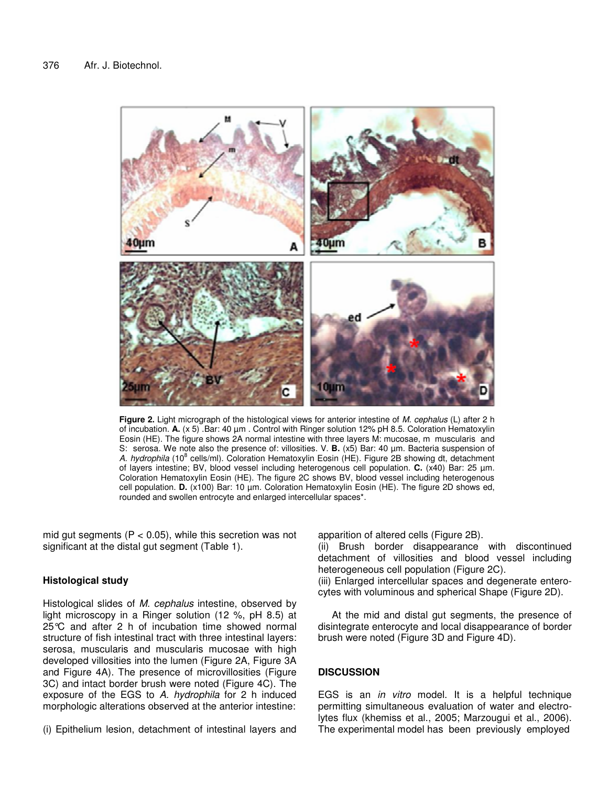

**Figure 2.** Light micrograph of the histological views for anterior intestine of *M. cephalus* (L) after 2 h of incubation. **A.** (x 5) .Bar: 40 µm . Control with Ringer solution 12% pH 8.5. Coloration Hematoxylin Eosin (HE). The figure shows 2A normal intestine with three layers M: mucosae, m muscularis and S: serosa. We note also the presence of: villosities. V. **B.** (x5) Bar: 40 µm. Bacteria suspension of A. *hydrophila* (10<sup>8</sup> cells/ml). Coloration Hematoxylin Eosin (HE). Figure 2B showing dt, detachment of layers intestine; BV, blood vessel including heterogenous cell population. **C.** (x40) Bar: 25 µm. Coloration Hematoxylin Eosin (HE). The figure 2C shows BV, blood vessel including heterogenous cell population. **D.** (x100) Bar: 10 µm. Coloration Hematoxylin Eosin (HE). The figure 2D shows ed, rounded and swollen entrocyte and enlarged intercellular spaces\*.

mid gut segments ( $P < 0.05$ ), while this secretion was not significant at the distal gut segment (Table 1).

#### **Histological study**

Histological slides of *M. cephalus* intestine, observed by light microscopy in a Ringer solution (12 %, pH 8.5) at 25°C and after 2 h of incubation time showed normal structure of fish intestinal tract with three intestinal layers: serosa, muscularis and muscularis mucosae with high developed villosities into the lumen (Figure 2A, Figure 3A and Figure 4A). The presence of microvillosities (Figure 3C) and intact border brush were noted (Figure 4C). The exposure of the EGS to *A. hydrophila* for 2 h induced morphologic alterations observed at the anterior intestine:

(i) Epithelium lesion, detachment of intestinal layers and

apparition of altered cells (Figure 2B).

(ii) Brush border disappearance with discontinued detachment of villosities and blood vessel including heterogeneous cell population (Figure 2C).

(iii) Enlarged intercellular spaces and degenerate enterocytes with voluminous and spherical Shape (Figure 2D).

At the mid and distal gut segments, the presence of disintegrate enterocyte and local disappearance of border brush were noted (Figure 3D and Figure 4D).

### **DISCUSSION**

EGS is an *in vitro* model. It is a helpful technique permitting simultaneous evaluation of water and electrolytes flux (khemiss et al., 2005; Marzougui et al., 2006). The experimental model has been previously employed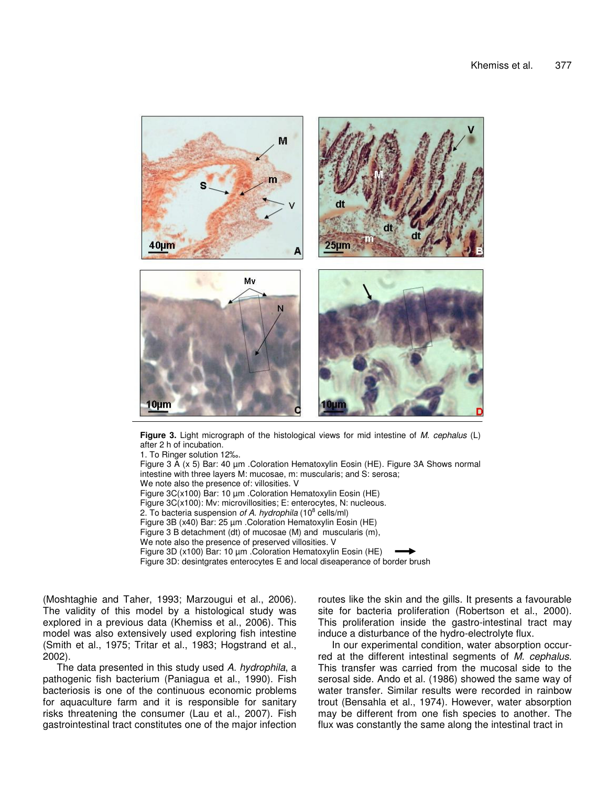

**Figure 3.** Light micrograph of the histological views for mid intestine of *M. cephalus* (L) after 2 h of incubation.

1. To Ringer solution 12‰. Figure 3 A (x 5) Bar: 40 µm .Coloration Hematoxylin Eosin (HE). Figure 3A Shows normal intestine with three layers M: mucosae, m: muscularis; and S: serosa; We note also the presence of: villosities. V Figure 3C(x100) Bar: 10 µm .Coloration Hematoxylin Eosin (HE) Figure 3C(x100): Mv: microvillosities; E: enterocytes, N: nucleous. 2. To bacteria suspension *of A. hydrophila* (10 8 cells/ml) Figure 3B (x40) Bar: 25 µm .Coloration Hematoxylin Eosin (HE) Figure 3 B detachment (dt) of mucosae (M) and muscularis (m), We note also the presence of preserved villosities. V Figure 3D (x100) Bar: 10 µm .Coloration Hematoxylin Eosin (HE) Figure 3D: desintgrates enterocytes E and local diseaperance of border brush

(Moshtaghie and Taher, 1993; Marzougui et al., 2006). The validity of this model by a histological study was explored in a previous data (Khemiss et al., 2006). This model was also extensively used exploring fish intestine (Smith et al., 1975; Tritar et al., 1983; Hogstrand et al., 2002).

The data presented in this study used *A. hydrophila*, a pathogenic fish bacterium (Paniagua et al., 1990). Fish bacteriosis is one of the continuous economic problems for aquaculture farm and it is responsible for sanitary risks threatening the consumer (Lau et al., 2007). Fish gastrointestinal tract constitutes one of the major infection

routes like the skin and the gills. It presents a favourable site for bacteria proliferation (Robertson et al., 2000). This proliferation inside the gastro-intestinal tract may induce a disturbance of the hydro-electrolyte flux.

In our experimental condition, water absorption occurred at the different intestinal segments of *M. cephalus*. This transfer was carried from the mucosal side to the serosal side. Ando et al. (1986) showed the same way of water transfer. Similar results were recorded in rainbow trout (Bensahla et al., 1974). However, water absorption may be different from one fish species to another. The flux was constantly the same along the intestinal tract in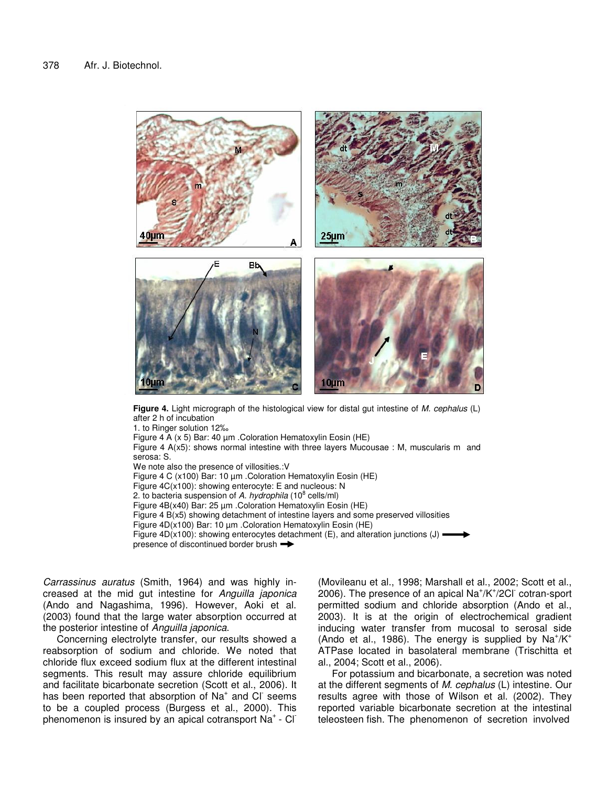

**Figure 4.** Light micrograph of the histological view for distal gut intestine of *M. cephalus* (L) after 2 h of incubation

1. to Ringer solution 12‰ Figure 4 A  $(x 5)$  Bar: 40  $\mu$ m . Coloration Hematoxylin Eosin (HE) Figure 4 A(x5): shows normal intestine with three layers Mucousae : M, muscularis m and serosa: S. We note also the presence of villosities.:V Figure 4 C (x100) Bar: 10 µm .Coloration Hematoxylin Eosin (HE) Figure 4C(x100): showing enterocyte: E and nucleous: N 2. to bacteria suspension of *A. hydrophila* (10 8 cells/ml) Figure 4B(x40) Bar: 25 µm .Coloration Hematoxylin Eosin (HE) Figure 4 B(x5) showing detachment of intestine layers and some preserved villosities Figure 4D(x100) Bar: 10 µm .Coloration Hematoxylin Eosin (HE) Figure 4D(x100): showing enterocytes detachment (E), and alteration junctions (J)  $\blacksquare$ presence of discontinued border brush

*Carrassinus auratus* (Smith, 1964) and was highly increased at the mid gut intestine for *Anguilla japonica* (Ando and Nagashima, 1996). However, Aoki et al. (2003) found that the large water absorption occurred at the posterior intestine of *Anguilla japonica*.

Concerning electrolyte transfer, our results showed a reabsorption of sodium and chloride. We noted that chloride flux exceed sodium flux at the different intestinal segments. This result may assure chloride equilibrium and facilitate bicarbonate secretion (Scott et al., 2006). It has been reported that absorption of Na<sup>+</sup> and Cl seems to be a coupled process (Burgess et al., 2000). This phenomenon is insured by an apical cotransport Na<sup>+</sup> - Cl<sup>-</sup>

(Movileanu et al., 1998; Marshall et al., 2002; Scott et al., 2006). The presence of an apical  $\text{Na}^{\text{+}}/\text{K}^{\text{+}}/\text{2CI}$  cotran-sport permitted sodium and chloride absorption (Ando et al., 2003). It is at the origin of electrochemical gradient inducing water transfer from mucosal to serosal side (Ando et al., 1986). The energy is supplied by  $Na^+/K^+$ ATPase located in basolateral membrane (Trischitta et al., 2004; Scott et al., 2006).

For potassium and bicarbonate, a secretion was noted at the different segments of *M. cephalus* (L) intestine. Our results agree with those of Wilson et al. (2002). They reported variable bicarbonate secretion at the intestinal teleosteen fish. The phenomenon of secretion involved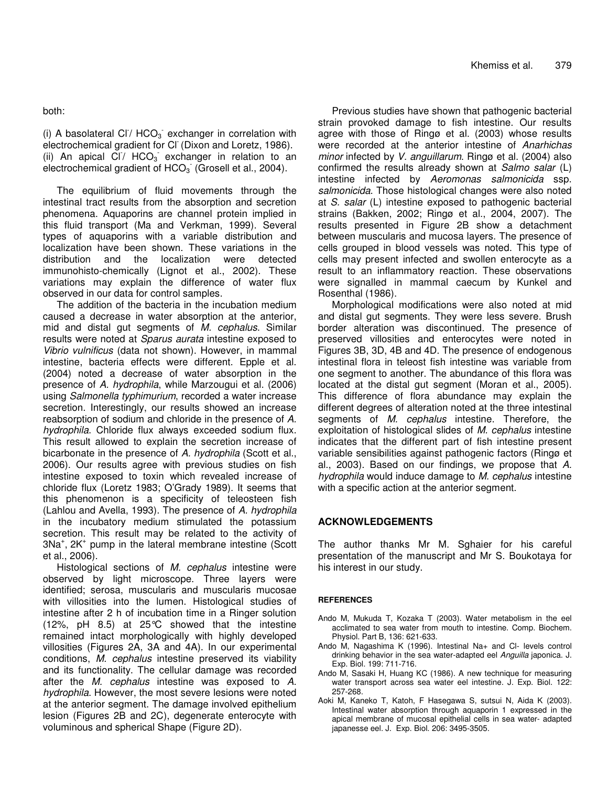both:

(i) A basolateral CI<sup> $/$ </sup> HCO<sub>3</sub> exchanger in correlation with electrochemical gradient for Cl (Dixon and Loretz, 1986). (ii) An apical  $C\Gamma$ / HCO<sub>3</sub> exchanger in relation to an electrochemical gradient of  $HCO<sub>3</sub>$  (Grosell et al., 2004).

The equilibrium of fluid movements through the intestinal tract results from the absorption and secretion phenomena. Aquaporins are channel protein implied in this fluid transport (Ma and Verkman, 1999). Several types of aquaporins with a variable distribution and localization have been shown. These variations in the distribution and the localization were detected immunohisto-chemically (Lignot et al., 2002). These variations may explain the difference of water flux observed in our data for control samples.

The addition of the bacteria in the incubation medium caused a decrease in water absorption at the anterior, mid and distal gut segments of *M. cephalus*. Similar results were noted at *Sparus aurata* intestine exposed to *Vibrio vulnificus* (data not shown). However, in mammal intestine, bacteria effects were different. Epple et al. (2004) noted a decrease of water absorption in the presence of *A. hydrophila*, while Marzougui et al. (2006) using *Salmonella typhimurium*, recorded a water increase secretion. Interestingly, our results showed an increase reabsorption of sodium and chloride in the presence of *A. hydrophila*. Chloride flux always exceeded sodium flux. This result allowed to explain the secretion increase of bicarbonate in the presence of *A. hydrophila* (Scott et al., 2006). Our results agree with previous studies on fish intestine exposed to toxin which revealed increase of chloride flux (Loretz 1983; O'Grady 1989). It seems that this phenomenon is a specificity of teleosteen fish (Lahlou and Avella, 1993). The presence of *A. hydrophila* in the incubatory medium stimulated the potassium secretion. This result may be related to the activity of 3Na<sup>+</sup>, 2K<sup>+</sup> pump in the lateral membrane intestine (Scott et al., 2006).

Histological sections of *M. cephalus* intestine were observed by light microscope. Three layers were identified; serosa, muscularis and muscularis mucosae with villosities into the lumen. Histological studies of intestine after 2 h of incubation time in a Ringer solution (12%, pH 8.5) at 25°C showed that the intestine remained intact morphologically with highly developed villosities (Figures 2A, 3A and 4A). In our experimental conditions, *M. cephalus* intestine preserved its viability and its functionality. The cellular damage was recorded after the *M. cephalus* intestine was exposed to *A. hydrophila*. However, the most severe lesions were noted at the anterior segment. The damage involved epithelium lesion (Figures 2B and 2C), degenerate enterocyte with voluminous and spherical Shape (Figure 2D).

Previous studies have shown that pathogenic bacterial strain provoked damage to fish intestine. Our results agree with those of Ringø et al. (2003) whose results were recorded at the anterior intestine of *Anarhichas minor* infected by *V. anguillarum*. Ringø et al. (2004) also confirmed the results already shown at *Salmo salar* (L) intestine infected by *Aeromonas salmonicida* ssp. *salmonicida*. Those histological changes were also noted at *S. salar* (L) intestine exposed to pathogenic bacterial strains (Bakken, 2002; Ringø et al., 2004, 2007). The results presented in Figure 2B show a detachment between muscularis and mucosa layers. The presence of cells grouped in blood vessels was noted. This type of cells may present infected and swollen enterocyte as a result to an inflammatory reaction. These observations were signalled in mammal caecum by Kunkel and Rosenthal (1986).

Morphological modifications were also noted at mid and distal gut segments. They were less severe. Brush border alteration was discontinued. The presence of preserved villosities and enterocytes were noted in Figures 3B, 3D, 4B and 4D. The presence of endogenous intestinal flora in teleost fish intestine was variable from one segment to another. The abundance of this flora was located at the distal gut segment (Moran et al., 2005). This difference of flora abundance may explain the different degrees of alteration noted at the three intestinal segments of *M. cephalus* intestine. Therefore, the exploitation of histological slides of *M. cephalus* intestine indicates that the different part of fish intestine present variable sensibilities against pathogenic factors (Ringø et al., 2003). Based on our findings, we propose that *A. hydrophila* would induce damage to *M. cephalus* intestine with a specific action at the anterior segment.

# **ACKNOWLEDGEMENTS**

The author thanks Mr M. Sghaier for his careful presentation of the manuscript and Mr S. Boukotaya for his interest in our study.

#### **REFERENCES**

- Ando M, Mukuda T, Kozaka T (2003). Water metabolism in the eel acclimated to sea water from mouth to intestine. Comp. Biochem. Physiol. Part B, 136: 621-633.
- Ando M, Nagashima K (1996). Intestinal Na+ and Cl- levels control drinking behavior in the sea water-adapted eel *Anguilla* japonica. J. Exp. Biol. 199: 711-716.
- Ando M, Sasaki H, Huang KC (1986). A new technique for measuring water transport across sea water eel intestine. J. Exp. Biol. 122: 257-268.
- Aoki M, Kaneko T, Katoh, F Hasegawa S, sutsui N, Aida K (2003). Intestinal water absorption through aquaporin 1 expressed in the apical membrane of mucosal epithelial cells in sea water- adapted japanesse eel. J. Exp. Biol. 206: 3495-3505.